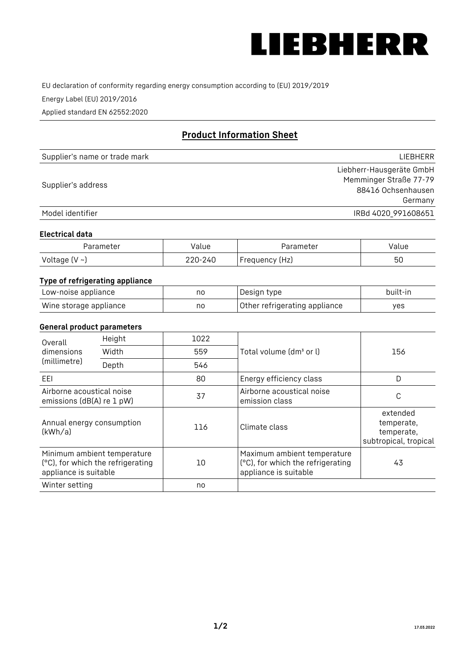

EU declaration of conformity regarding energy consumption according to (EU) 2019/2019

Energy Label (EU) 2019/2016

Applied standard EN 62552:2020

# **Product Information Sheet**

| Supplier's name or trade mark | <b>LIFBHFRR</b>          |
|-------------------------------|--------------------------|
|                               | Liebherr-Hausgeräte GmbH |
| Supplier's address            | Memminger Straße 77-79   |
|                               | 88416 Ochsenhausen       |
|                               | Germany                  |
| Model identifier              | IRBd 4020 991608651      |

### **Electrical data**

| Parameter           | Value   | Parameter      | Value |
|---------------------|---------|----------------|-------|
| Voltage (V $\sim$ ) | 220-240 | Frequency (Hz) | 50    |

# **Type of refrigerating appliance**

| Low-noise appliance    | no | Design type                   | built-in |
|------------------------|----|-------------------------------|----------|
| Wine storage appliance | nc | Other refrigerating appliance | ves      |

## **General product parameters**

| Height<br>Overall                                      |                                                                  | 1022 |                                                                                           |                                                               |
|--------------------------------------------------------|------------------------------------------------------------------|------|-------------------------------------------------------------------------------------------|---------------------------------------------------------------|
| dimensions<br>(millimetre)                             | Width                                                            | 559  | Total volume (dm <sup>3</sup> or l)                                                       | 156                                                           |
|                                                        | Depth                                                            | 546  |                                                                                           |                                                               |
| EEL                                                    |                                                                  | 80   | Energy efficiency class                                                                   | D                                                             |
| Airborne acoustical noise<br>emissions (dB(A) re 1 pW) |                                                                  | 37   | Airborne acoustical noise<br>emission class                                               | С                                                             |
| Annual energy consumption<br>(kWh/a)                   |                                                                  | 116  | Climate class                                                                             | extended<br>temperate,<br>temperate,<br>subtropical, tropical |
| appliance is suitable                                  | Minimum ambient temperature<br>(°C), for which the refrigerating | 10   | Maximum ambient temperature<br>(°C), for which the refrigerating<br>appliance is suitable | 43                                                            |
| Winter setting                                         |                                                                  | no   |                                                                                           |                                                               |